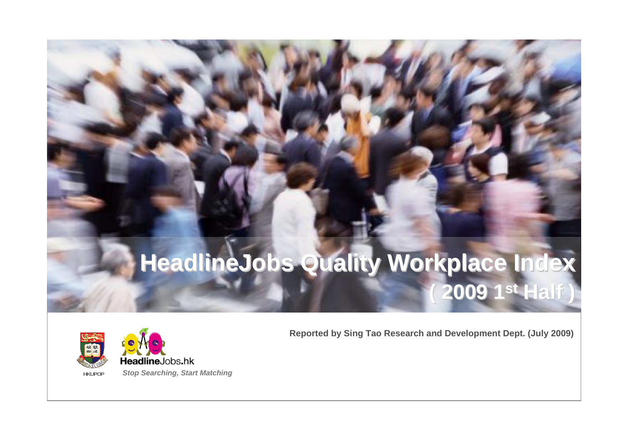## **HeadlineJobs Quality Workplace Index ( 2009 1 ( 2009 1st Half )**



HeadlineJobs.hk **HKUPOP** *Stop Searching, Start Matching* **Reported by Sing Tao Research and Development Dept. (July 2009)**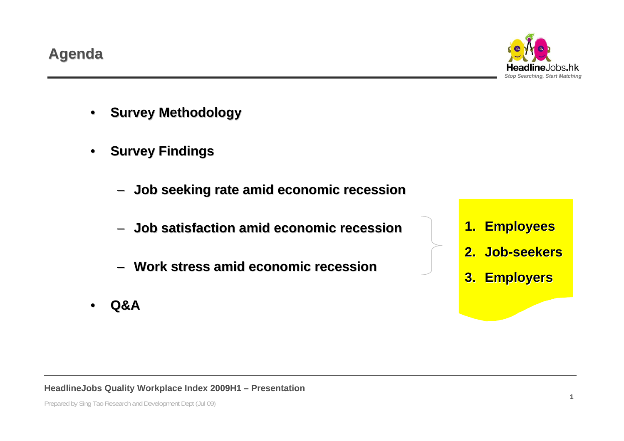**HeadlineJobs Quality Workplace Index 2009H1 – Presentation**

#### **Agenda**

- •**Survey Methodology Survey Methodology**
- •**Survey Findings** 
	- **Job seeking rate amid economic recession Job seeking rate amid economic recession**
	- –**Job satisfaction amid economic recession Job satisfaction amid economic recession**
	- **Work stress amid economic recession Work stress amid economic recession**
- •**Q&A**



*Stop Searching, Start Matching*

- **1. Employees Employees**
- **2. Job-seekers seekers**
- **3. Employers Employers**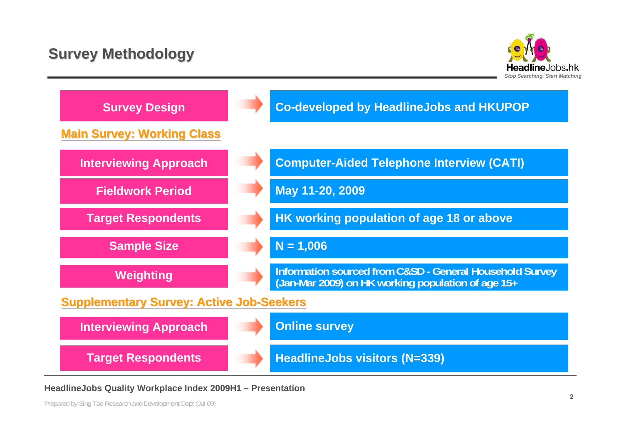## **Survey Methodology Survey Methodology**



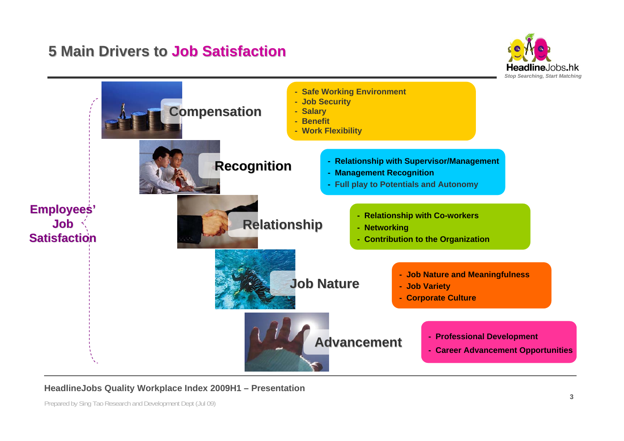#### **5 Main Drivers to Job Satisfaction**



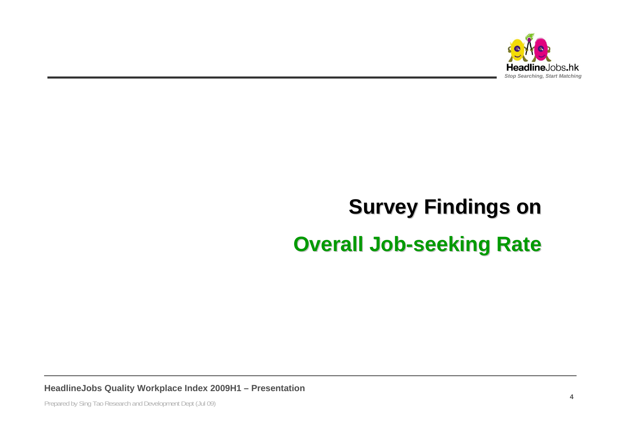

# **Survey Findings on Survey Findings on Overall Job-seeking Rate**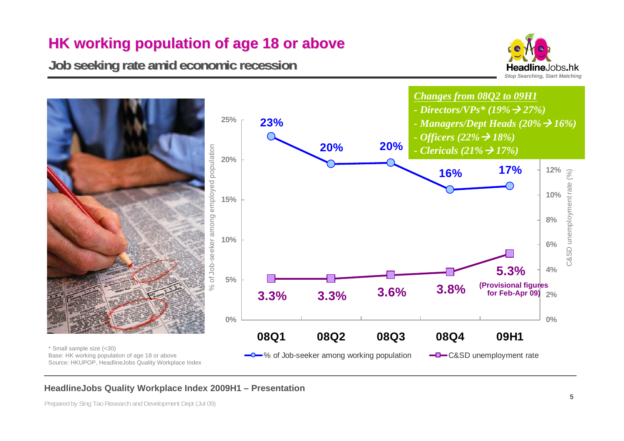## **HK working population of age 18 or above HK working population of age 18 or above**

**Job seeking rate amid economic recession Job seeking rate amid economic recession**



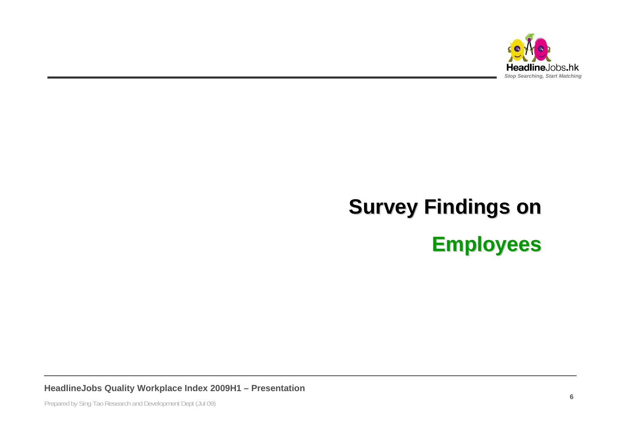

# **Survey Findings on Employees Employees**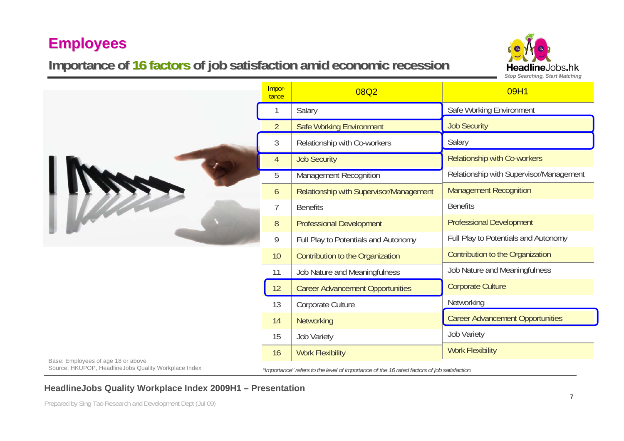### **Importance of 16 factors of job satisfaction amid economic recession**

Importance

1

Salary



09H1

Safe Working Environment



|                                                                                             | $\overline{2}$ | <b>Safe Working Environment</b>         | <b>Job Security</b>                     |  |  |
|---------------------------------------------------------------------------------------------|----------------|-----------------------------------------|-----------------------------------------|--|--|
|                                                                                             | 3              | Relationship with Co-workers            | Salary                                  |  |  |
|                                                                                             | $\overline{4}$ | <b>Job Security</b>                     | <b>Relationship with Co-workers</b>     |  |  |
|                                                                                             | $\overline{5}$ | <b>Management Recognition</b>           | Relationship with Supervisor/Management |  |  |
|                                                                                             | 6              | Relationship with Supervisor/Management | <b>Management Recognition</b>           |  |  |
|                                                                                             | 7              | <b>Benefits</b>                         | <b>Benefits</b>                         |  |  |
|                                                                                             | 8              | <b>Professional Development</b>         | <b>Professional Development</b>         |  |  |
|                                                                                             | 9              | Full Play to Potentials and Autonomy    | Full Play to Potentials and Autonomy    |  |  |
|                                                                                             | 10             | Contribution to the Organization        | Contribution to the Organization        |  |  |
|                                                                                             | 11             | Job Nature and Meaningfulness           | Job Nature and Meaningfulness           |  |  |
|                                                                                             | 12             | <b>Career Advancement Opportunities</b> | <b>Corporate Culture</b>                |  |  |
|                                                                                             | 13             | Corporate Culture                       | Networking                              |  |  |
|                                                                                             | 14             | Networking                              | <b>Career Advancement Opportunities</b> |  |  |
|                                                                                             | 15             | <b>Job Variety</b>                      | <b>Job Variety</b>                      |  |  |
|                                                                                             | 16             | <b>Work Flexibility</b>                 | <b>Work Flexibility</b>                 |  |  |
| "Importance" refers to the level of importance of the 16 rated factors of job satisfaction. |                |                                         |                                         |  |  |
|                                                                                             |                |                                         |                                         |  |  |

#### Base: Employees of age 18 or above Source: HKUPOP, HeadlineJobs Quality Workplace Index

08Q2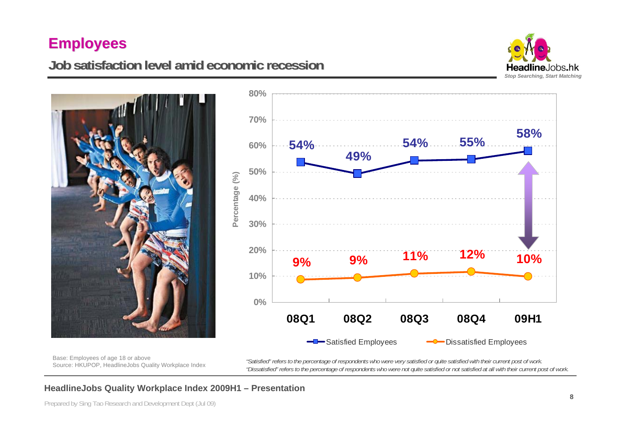#### **Job satisfaction level amid economic recession Job satisfaction level amid economic recession**







Base: Employees of age 18 or above Source: HKUPOP, HeadlineJobs Quality Workplace Index

*"Satisfied" refers to the percentage of respondents who were very satisfied or quite satisfied with their current post of work. "Dissatisfied" refers to the percentage of respondents who were not quite satisfied or not satisfied at all with their current post of work.*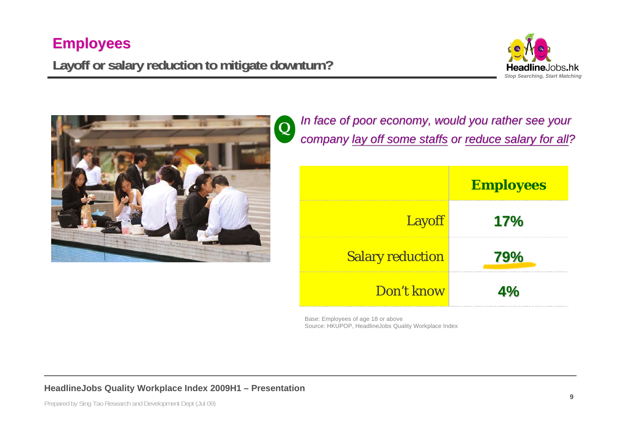## **Layoff or salary reduction to mitigate downturn? or salary reduction to mitigate downturn?**





*In face of poor economy, would you rather see your* **company <u>lay off some staffs</u>** or reduce salary for all?

|                         | <b>Employees</b> |
|-------------------------|------------------|
| <b>Layoff</b>           | 17%              |
| <b>Salary reduction</b> | <b>79%</b>       |
| Don't know              | <b>4%</b>        |

Base: Employees of age 18 or above Source: HKUPOP, HeadlineJobs Quality Workplace Index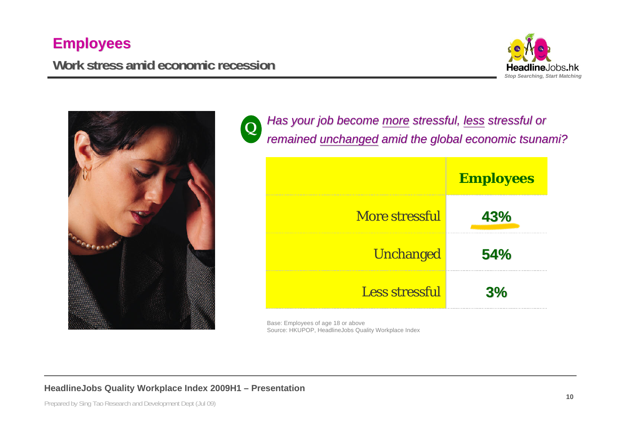#### **Work stress amid economic recession Work stress amid economic recession**





*Has your job become more stressful, less stressful or remained remained unchanged unchanged amid the global economic tsunami? amid the global economic tsunami?* **Q**

|                       | <b>Employees</b> |  |  |
|-----------------------|------------------|--|--|
| <b>More stressful</b> | 43%              |  |  |
| <b>Unchanged</b>      | 54%              |  |  |
| <b>Less stressful</b> | 3%               |  |  |

Base: Employees of age 18 or above Source: HKUPOP, HeadlineJobs Quality Workplace Index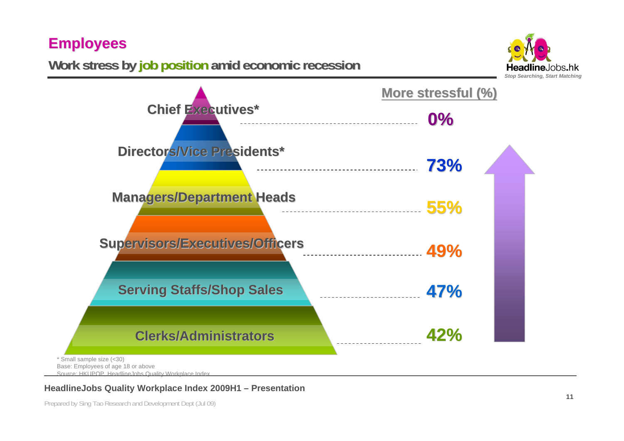**Work stress by job position amid economic recession** 





Source: HKUPOP, Headline Jobs Quality Workplace Index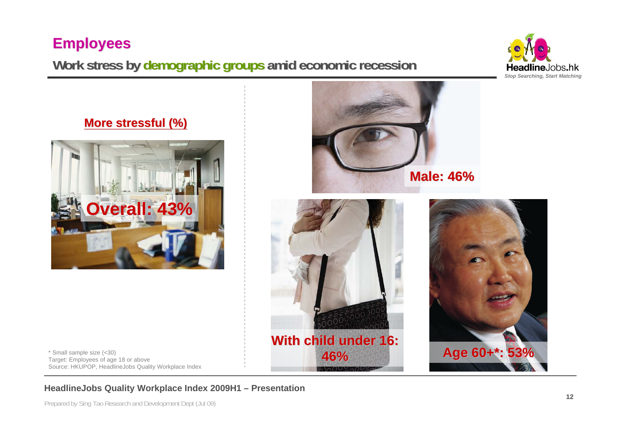## **Work stress by Work stress by demographic groups demographic groups amid economic recession amid economic recession**





\* Small sample size (<30) Target: Employees of age 18 or above Source: HKUPOP, HeadlineJobs Quality Workplace Index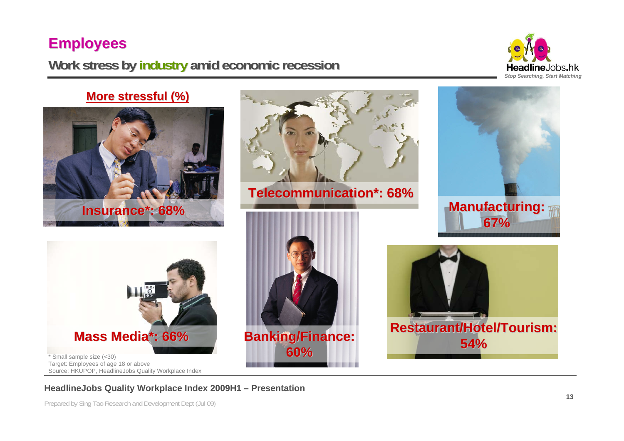#### **Work stress by industry amid economic recession**



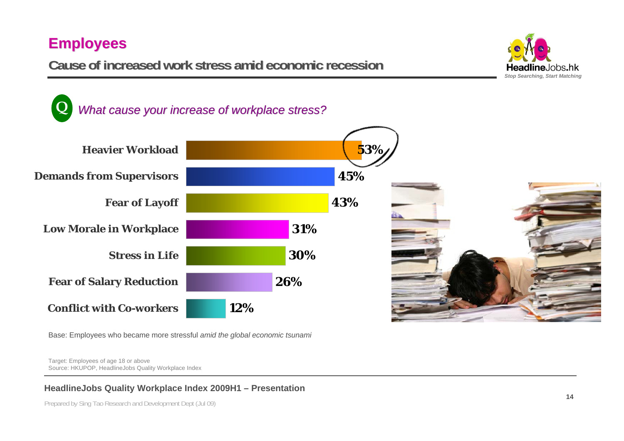**Cause of increased work stress amid economic recession Cause of increased work stress amid economic recession**





Base: Employees who became more stressful *amid the global economic tsunami*

Target: Employees of age 18 or above Source: HKUPOP, HeadlineJobs Quality Workplace Index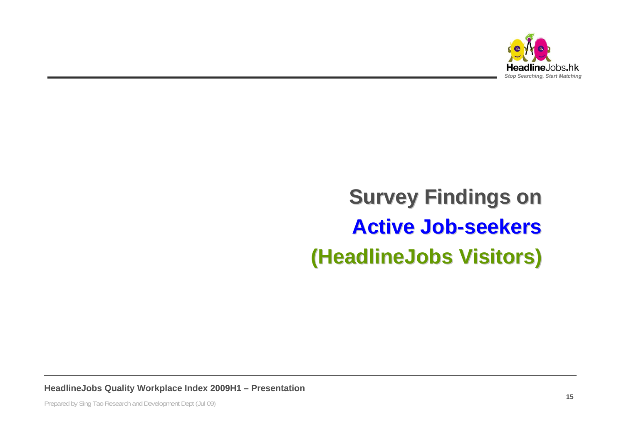

## **Survey Findings on Active Job Active Job-seekers seekers(HeadlineJobs HeadlineJobs Visitors) Visitors)**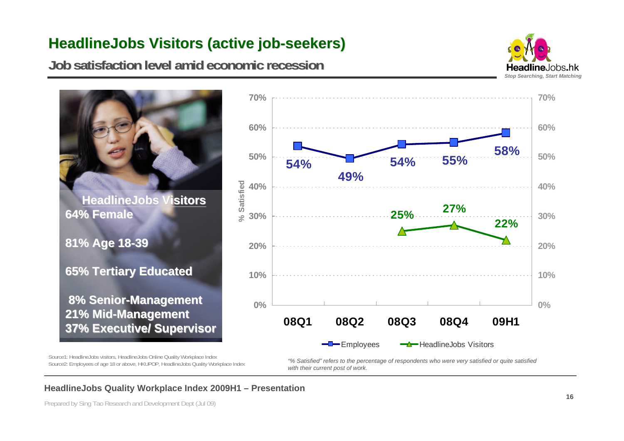## **HeadlineJobs HeadlineJobs Visitors (active job Visitors (active job-seekers) seekers)**

**Job satisfaction level amid economic recession Job satisfaction level amid economic recession**







Source1: HeadlineJobs visitors, HeadlineJobs Online Quality Workplace Index Source2: Employees of age 18 or above, HKUPOP, HeadlineJobs Quality Workplace Index

*"% Satisfied" refers to the percentage of respondents who were very satisfied or quite satisfied with their current post of work.*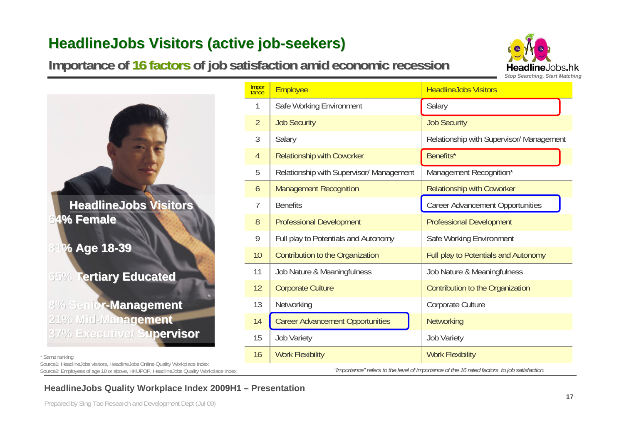### **HeadlineJobs HeadlineJobs Visitors (active job Visitors (active job-seekers) seekers)**

**Importance of 16 factors of job satisfaction amid economic recession** 





| * Same ranking                                                                      |
|-------------------------------------------------------------------------------------|
| Source1: Headline Jobs visitors, Headline Jobs Online Quality Workplace Index       |
| Source2: Employees of age 18 or above, HKUPOP, HeadlineJobs Quality Workplace Index |

|                                                                                                                                                                    |                |                                          | Stop Searching, Start Matcl                                                                 |
|--------------------------------------------------------------------------------------------------------------------------------------------------------------------|----------------|------------------------------------------|---------------------------------------------------------------------------------------------|
|                                                                                                                                                                    | Impor<br>tance | Employee                                 | <b>HeadlineJobs Visitors</b>                                                                |
|                                                                                                                                                                    | 1              | Safe Working Environment                 | Salary                                                                                      |
|                                                                                                                                                                    | $\overline{2}$ | <b>Job Security</b>                      | <b>Job Security</b>                                                                         |
|                                                                                                                                                                    | 3              | Salary                                   | Relationship with Supervisor/ Management                                                    |
|                                                                                                                                                                    | $\overline{4}$ | <b>Relationship with Coworker</b>        | Benefits*                                                                                   |
|                                                                                                                                                                    | 5              | Relationship with Supervisor/ Management | Management Recognition*                                                                     |
|                                                                                                                                                                    | 6              | <b>Management Recognition</b>            | <b>Relationship with Coworker</b>                                                           |
| <b>HeadlineJobs Visitors</b><br>64% Female                                                                                                                         | $\overline{7}$ | <b>Benefits</b>                          | <b>Career Advancement Opportunities</b>                                                     |
|                                                                                                                                                                    | $8\,$          | <b>Professional Development</b>          | <b>Professional Development</b>                                                             |
|                                                                                                                                                                    | 9              | Full play to Potentials and Autonomy     | Safe Working Environment                                                                    |
| % Age 18-39                                                                                                                                                        | 10             | Contribution to the Organization         | Full play to Potentials and Autonomy                                                        |
| <b>Tertiary Educated</b><br>$65\%$                                                                                                                                 | 11             | Job Nature & Meaningfulness              | Job Nature & Meaningfulness                                                                 |
|                                                                                                                                                                    |                | <b>Corporate Culture</b>                 | Contribution to the Organization                                                            |
| 8% Senior-Management                                                                                                                                               | 13             | Networking                               | Corporate Culture                                                                           |
| 21% Mid-Management                                                                                                                                                 | 14             | <b>Career Advancement Opportunities</b>  | Networking                                                                                  |
| 37% Executive/ Supervisor                                                                                                                                          | 15             | Job Variety                              | Job Variety                                                                                 |
| * Same ranking                                                                                                                                                     | 16             | <b>Work Flexibility</b>                  | <b>Work Flexibility</b>                                                                     |
| Source1: HeadlineJobs visitors, HeadlineJobs Online Quality Workplace Index<br>Source2: Employees of age 18 or above, HKUPOP, HeadlineJobs Quality Workplace Index |                |                                          | "Importance" refers to the level of importance of the 16 rated factors to job satisfaction. |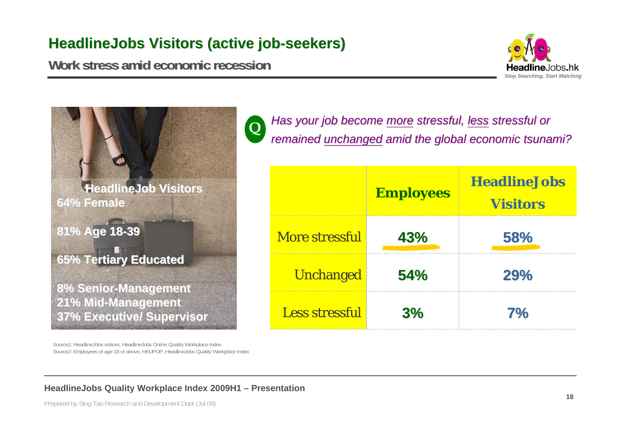#### **HeadlineJobs HeadlineJobs Visitors (active job Visitors (active job-seekers) seekers)**

**Q**

**Work stress amid economic recession Work stress amid economic recession**





Source1: HeadlineJobs visitors, HeadlineJobs Online Quality Workplace Index Source2: Employees of age 18 or above, HKUPOP, HeadlineJobs Quality Workplace Index *Has your job become more stressful, less stressful or remained remained unchanged unchanged amid the global economic tsunami? amid the global economic tsunami?*

|                       | <b>Employees</b> | <b>HeadlineJobs</b><br><b>Visitors</b> |
|-----------------------|------------------|----------------------------------------|
| <b>More stressful</b> | 43%              | 58%                                    |
| <b>Unchanged</b>      | 54%              | 29%                                    |
| <b>Less stressful</b> | 3%               | 7%                                     |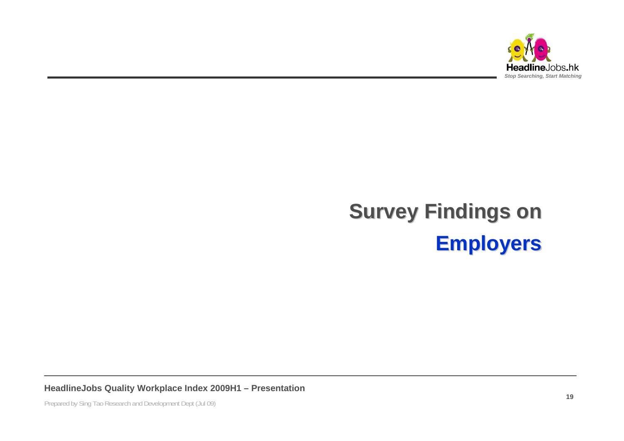

## **Survey Findings on Employers Employers**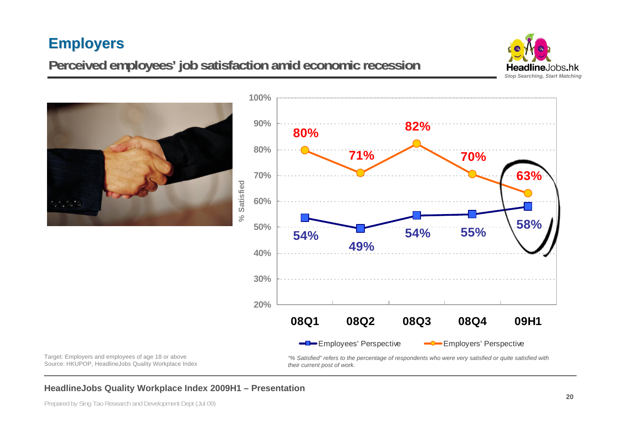#### **Employers Employers**

## **Perceived employees Perceived employees' job satisfaction amid economic recession job satisfaction amid economic recession**



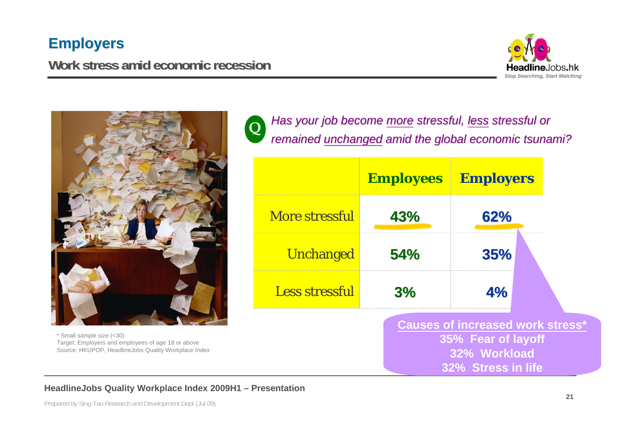#### **Employers Employers**

#### **Work stress amid economic recession Work stress amid economic recession**





\* Small sample size (<30) Target: Employers and employees of age 18 or above Source: HKUPOP, HeadlineJobs Quality Workplace Index

*Has your job become more stressful, less stressful or remained remained unchanged unchanged amid the global economic tsunami? amid the global economic tsunami?* **Q**

|                       | <b>Employees</b> Employers                                                                                 |     |  |  |  |
|-----------------------|------------------------------------------------------------------------------------------------------------|-----|--|--|--|
| <b>More stressful</b> | 43%                                                                                                        | 62% |  |  |  |
| <b>Unchanged</b>      | 54%                                                                                                        | 35% |  |  |  |
| <b>Less stressful</b> | 3%                                                                                                         | 4%  |  |  |  |
|                       | <b>Causes of increased work stress*</b><br>35% Fear of layoff<br>32% Workload<br><b>32% Stress in life</b> |     |  |  |  |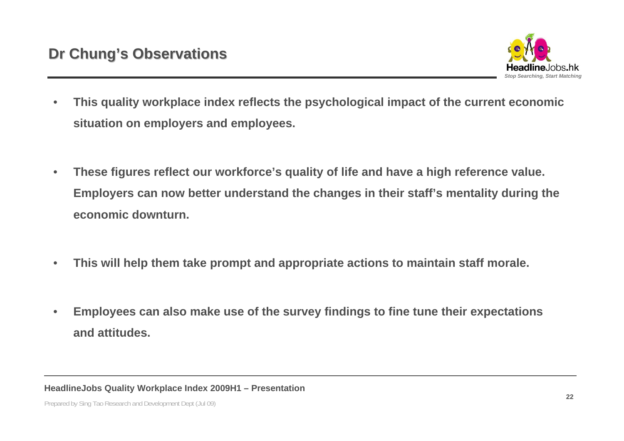

- • **This quality workplace index reflects the psychological impact of the current economic situation on employers and employees.**
- • **These figures reflect our workforce's quality of life and have a high reference value. Employers can now better understand the changes in their staff's mentality during the economic downturn.**
- •**This will help them take prompt and appropriate actions to maintain staff morale.**
- • **Employees can also make use of the survey findings to fine tune their expectations and attitudes.**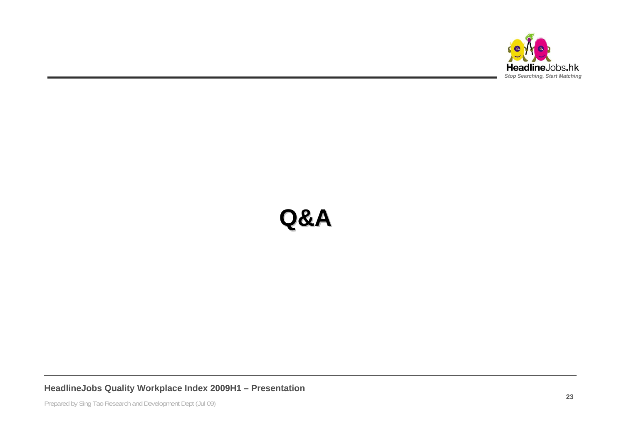

## **Q&A**